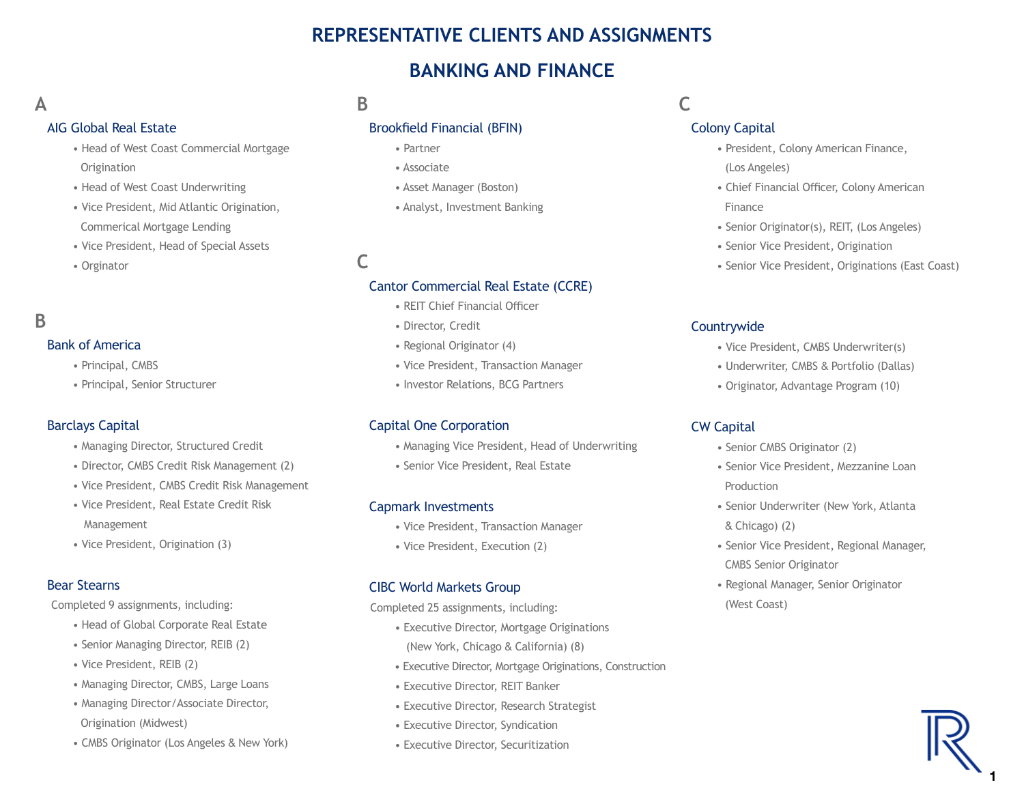# **REPRESENTATIVE CLIENTS AND ASSIGNMENTS**

# **BANKING AND FINANCE**

# **A**

#### AIG Global Real Estate

- Head of West Coast Commercial Mortgage **Origination**
- Head of West Coast Underwriting
- Vice President, Mid Atlantic Origination, Commerical Mortgage Lending
- Vice President, Head of Special Assets
- Orginator

# **B**

#### Bank of America

- Principal, CMBS
- Principal, Senior Structurer

#### Barclays Capital

- Managing Director, Structured Credit
- Director, CMBS Credit Risk Management (2)
- Vice President, CMBS Credit Risk Management
- Vice President, Real Estate Credit Risk Management
- Vice President, Origination (3)

#### Bear Stearns

Completed 9 assignments, including:

- Head of Global Corporate Real Estate
- Senior Managing Director, REIB (2)
- Vice President, REIB (2)
- Managing Director, CMBS, Large Loans
- Managing Director/Associate Director, Origination (Midwest)
- CMBS Originator (Los Angeles & New York)

# **B**

### Brookfield Financial (BFIN)

- Partner
- Associate
- Asset Manager (Boston)
- Analyst, Investment Banking

# **C**

#### Cantor Commercial Real Estate (CCRE)

- REIT Chief Financial Officer
- Director, Credit
- Regional Originator (4)
- Vice President, Transaction Manager
- Investor Relations, BCG Partners

#### Capital One Corporation

- Managing Vice President, Head of Underwriting
- Senior Vice President, Real Estate

#### Capmark Investments

- Vice President, Transaction Manager
- Vice President, Execution (2)

#### CIBC World Markets Group

Completed 25 assignments, including:

- Executive Director, Mortgage Originations (New York, Chicago & California) (8)
- Executive Director, Mortgage Originations, Construction
- Executive Director, REIT Banker
- Executive Director, Research Strategist
- Executive Director, Syndication
- Executive Director, Securitization

**C**

#### Colony Capital

- President, Colony American Finance, (Los Angeles)
- Chief Financial Officer, Colony American Finance
- Senior Originator(s), REIT, (Los Angeles)
- Senior Vice President, Origination
- Senior Vice President, Originations (East Coast)

#### **Countrywide**

- Vice President, CMBS Underwriter(s)
- Underwriter, CMBS & Portfolio (Dallas)
- Originator, Advantage Program (10)

#### CW Capital

- Senior CMBS Originator (2)
- Senior Vice President, Mezzanine Loan Production
- Senior Underwriter (New York, Atlanta & Chicago) (2)
- Senior Vice President, Regional Manager, CMBS Senior Originator
- Regional Manager, Senior Originator (West Coast)

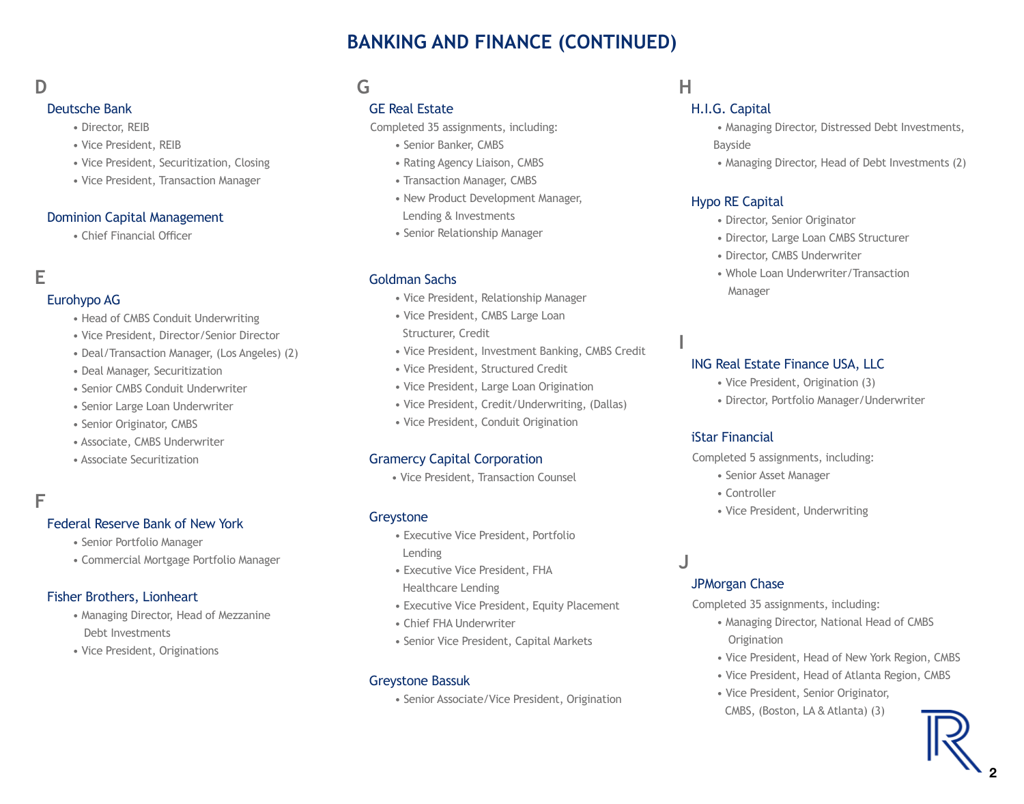# **BANKING AND FINANCE (CONTINUED)**

# **D**

#### Deutsche Bank

- Director, REIB
- Vice President, REIB
- Vice President, Securitization, Closing
- Vice President, Transaction Manager

### Dominion Capital Management

• Chief Financial Officer

# **E**

### Eurohypo AG

- Head of CMBS Conduit Underwriting
- Vice President, Director/Senior Director
- Deal/Transaction Manager, (Los Angeles) (2)
- Deal Manager, Securitization
- Senior CMBS Conduit Underwriter
- Senior Large Loan Underwriter
- Senior Originator, CMBS
- Associate, CMBS Underwriter
- Associate Securitization

# **F**

#### Federal Reserve Bank of New York

- Senior Portfolio Manager
- Commercial Mortgage Portfolio Manager

#### Fisher Brothers, Lionheart

- Managing Director, Head of Mezzanine Debt Investments
- Vice President, Originations

# **G**

## GE Real Estate

Completed 35 assignments, including:

- Senior Banker, CMBS
- Rating Agency Liaison, CMBS
- Transaction Manager, CMBS
- New Product Development Manager, Lending & Investments
- Senior Relationship Manager

### Goldman Sachs

- Vice President, Relationship Manager
- Vice President, CMBS Large Loan
- Structurer, Credit
- Vice President, Investment Banking, CMBS Credit
- Vice President, Structured Credit
- Vice President, Large Loan Origination
- Vice President, Credit/Underwriting, (Dallas)
- Vice President, Conduit Origination

### Gramercy Capital Corporation

• Vice President, Transaction Counsel

#### Greystone

- Executive Vice President, Portfolio Lending
- Executive Vice President, FHA Healthcare Lending
- Executive Vice President, Equity Placement
- Chief FHA Underwriter
- Senior Vice President, Capital Markets

#### Greystone Bassuk

• Senior Associate/Vice President, Origination

# **H**

## H.I.G. Capital

- Managing Director, Distressed Debt Investments, Bayside
- Managing Director, Head of Debt Investments (2)

### Hypo RE Capital

- Director, Senior Originator
- Director, Large Loan CMBS Structurer
- Director, CMBS Underwriter
- Whole Loan Underwriter/Transaction Manager

### ING Real Estate Finance USA, LLC

- Vice President, Origination (3)
- Director, Portfolio Manager/Underwriter

### iStar Financial

Completed 5 assignments, including:

- Senior Asset Manager
- Controller
- Vice President, Underwriting

# **J**

**I**

#### JPMorgan Chase

Completed 35 assignments, including:

- Managing Director, National Head of CMBS **Origination**
- Vice President, Head of New York Region, CMBS
- Vice President, Head of Atlanta Region, CMBS
- Vice President, Senior Originator,
- CMBS, (Boston, LA & Atlanta) (3)